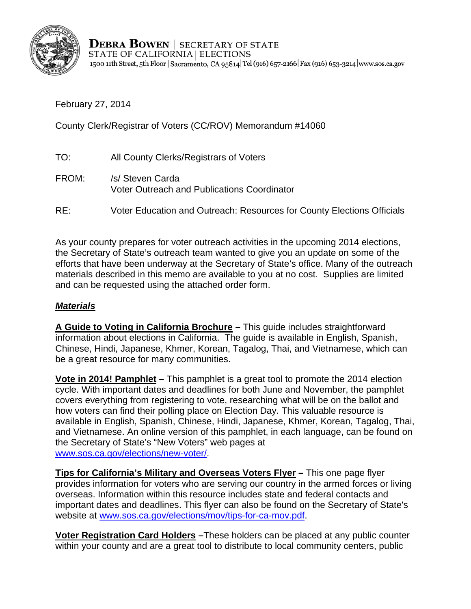

**DEBRA BOWEN** | SECRETARY OF STATE STATE OF CALIFORNIA | ELECTIONS 1500 11th Street, 5th Floor | Sacramento, CA 95814 Tel (916) 657-2166 | Fax (916) 653-3214 | www.sos.ca.gov

February 27, 2014

County Clerk/Registrar of Voters (CC/ROV) Memorandum #14060

- TO: All County Clerks/Registrars of Voters FROM: /s/ Steven Carda Voter Outreach and Publications Coordinator
- RE: Voter Education and Outreach: Resources for County Elections Officials

As your county prepares for voter outreach activities in the upcoming 2014 elections, the Secretary of State's outreach team wanted to give you an update on some of the efforts that have been underway at the Secretary of State's office. Many of the outreach materials described in this memo are available to you at no cost. Supplies are limited and can be requested using the attached order form.

## *Materials*

**A Guide to Voting in California Brochure –** This guide includes straightforward information about elections in California. The guide is available in English, Spanish, Chinese, Hindi, Japanese, Khmer, Korean, Tagalog, Thai, and Vietnamese, which can be a great resource for many communities.

**Vote in 2014! Pamphlet –** This pamphlet is a great tool to promote the 2014 election cycle. With important dates and deadlines for both June and November, the pamphlet covers everything from registering to vote, researching what will be on the ballot and how voters can find their polling place on Election Day. This valuable resource is available in English, Spanish, Chinese, Hindi, Japanese, Khmer, Korean, Tagalog, Thai, and Vietnamese. An online version of this pamphlet, in each language, can be found on the Secretary of State's "New Voters" web pages at www.sos.ca.gov/elections/new-voter/.

**Tips for California's Military and Overseas Voters Flyer –** This one page flyer provides information for voters who are serving our country in the armed forces or living overseas. Information within this resource includes state and federal contacts and important dates and deadlines. This flyer can also be found on the Secretary of State's website at www.sos.ca.gov/elections/mov/tips-for-ca-mov.pdf.

**Voter Registration Card Holders –**These holders can be placed at any public counter within your county and are a great tool to distribute to local community centers, public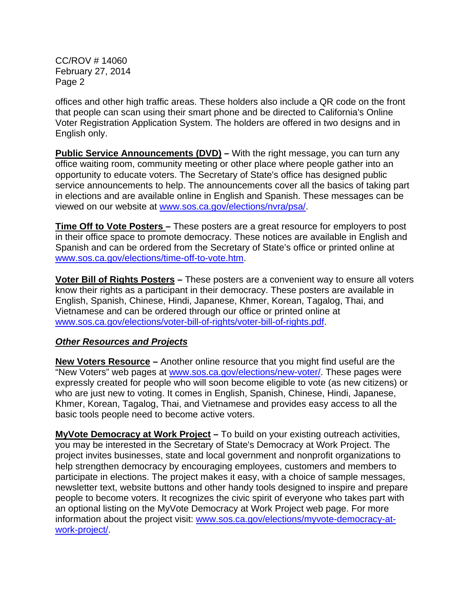CC/ROV # 14060 February 27, 2014 Page 2

offices and other high traffic areas. These holders also include a QR code on the front that people can scan using their smart phone and be directed to California's Online Voter Registration Application System. The holders are offered in two designs and in English only.

**Public Service Announcements (DVD)** – With the right message, you can turn any office waiting room, community meeting or other place where people gather into an opportunity to educate voters. The Secretary of State's office has designed public service announcements to help. The announcements cover all the basics of taking part in elections and are available online in English and Spanish. These messages can be viewed on our website at www.sos.ca.gov/elections/nvra/psa/.

**Time Off to Vote Posters –** These posters are a great resource for employers to post in their office space to promote democracy. These notices are available in English and Spanish and can be ordered from the Secretary of State's office or printed online at www.sos.ca.gov/elections/time-off-to-vote.htm.

**Voter Bill of Rights Posters –** These posters are a convenient way to ensure all voters know their rights as a participant in their democracy. These posters are available in English, Spanish, Chinese, Hindi, Japanese, Khmer, Korean, Tagalog, Thai, and Vietnamese and can be ordered through our office or printed online at www.sos.ca.gov/elections/voter-bill-of-rights/voter-bill-of-rights.pdf.

### *Other Resources and Projects*

**New Voters Resource –** Another online resource that you might find useful are the "New Voters" web pages at www.sos.ca.gov/elections/new-voter/. These pages were expressly created for people who will soon become eligible to vote (as new citizens) or who are just new to voting. It comes in English, Spanish, Chinese, Hindi, Japanese, Khmer, Korean, Tagalog, Thai, and Vietnamese and provides easy access to all the basic tools people need to become active voters.

**MyVote Democracy at Work Project –** To build on your existing outreach activities, you may be interested in the Secretary of State's Democracy at Work Project. The project invites businesses, state and local government and nonprofit organizations to help strengthen democracy by encouraging employees, customers and members to participate in elections. The project makes it easy, with a choice of sample messages, newsletter text, website buttons and other handy tools designed to inspire and prepare people to become voters. It recognizes the civic spirit of everyone who takes part with an optional listing on the MyVote Democracy at Work Project web page. For more information about the project visit: www.sos.ca.gov/elections/myvote-democracy-at[work-project/.](www.sos.ca.gov/elections/myvote-democracy-work-project/)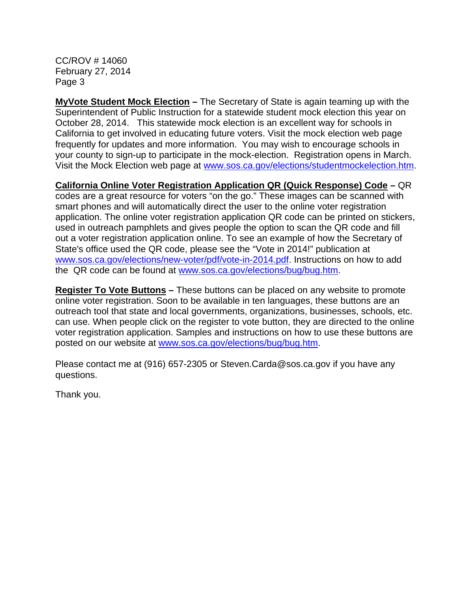CC/ROV # 14060 February 27, 2014 Page 3

**MyVote Student Mock Election –** The Secretary of State is again teaming up with the Superintendent of Public Instruction for a statewide student mock election this year on October 28, 2014. This statewide mock election is an excellent way for schools in California to get involved in educating future voters. Visit the mock election web page frequently for updates and more information. You may wish to encourage schools in your county to sign-up to participate in the mock-election. Registration opens in March. Visit the Mock Election web page at www.sos.ca.gov/elections/studentmockelection.htm.

**California Online Voter Registration Application QR (Quick Response) Code –** QR codes are a great resource for voters "on the go." These images can be scanned with smart phones and will automatically direct the user to the online voter registration application. The online voter registration application QR code can be printed on stickers, used in outreach pamphlets and gives people the option to scan the QR code and fill out a voter registration application online. To see an example of how the Secretary of State's office used the QR code, please see the "Vote in 2014!" publication at www.sos.ca.gov/elections/new-voter/pdf/vote-in-2014.pdf. Instructions on how to add the QR code can be found at www.sos.ca.gov/elections/bug/bug.htm.

**Register To Vote Buttons –** These buttons can be placed on any website to promote online voter registration. Soon to be available in ten languages, these buttons are an outreach tool that state and local governments, organizations, businesses, schools, etc. can use. When people click on the register to vote button, they are directed to the online voter registration application. Samples and instructions on how to use these buttons are posted on our website at www.sos.ca.gov/elections/bug/bug.htm.

Please contact me at (916) 657-2305 or Steven.Carda@sos.ca.gov if you have any questions.

Thank you.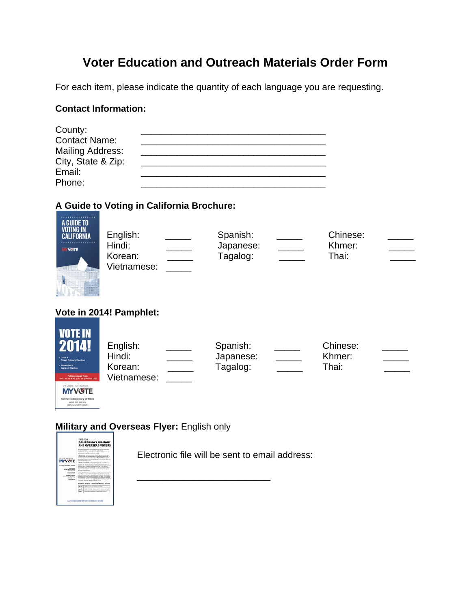# **Voter Education and Outreach Materials Order Form**

For each item, please indicate the quantity of each language you are requesting.

### **Contact Information:**

| County:                 |  |
|-------------------------|--|
| <b>Contact Name:</b>    |  |
| <b>Mailing Address:</b> |  |
| City, State & Zip:      |  |
| Email:                  |  |
| Phone:                  |  |

# **A Guide to Voting in California Brochure:**

| A GUIDE TO<br><b>VOTING IN</b><br><b>CALIFORNIA</b><br><b>IVITY VISITE</b> | English:<br>Hindi:<br>Korean:<br>Vietnamese: | Spanish:<br>Japanese:<br>Tagalog: | Chinese:<br>Khmer:<br>Thai: |  |
|----------------------------------------------------------------------------|----------------------------------------------|-----------------------------------|-----------------------------|--|
|                                                                            | Vote in 2014! Pamphlet:                      |                                   |                             |  |
| <b>VOTE IN</b><br>2014!<br>- June 3<br><b>Direct Primary Election</b>      | English:<br>Hindi:                           | Spanish:<br>Japanese:             | Chinese:<br>Khmer:          |  |

| <b>MY VOTE</b>                |
|-------------------------------|
| California Secretary of State |
|                               |

| English:               | Spanish:  | Chinese: |  |
|------------------------|-----------|----------|--|
| Hindi:                 | Japanese: | Khmer:   |  |
| Korean:<br>Vietnamese: | Tagalog:  | Thai:    |  |
|                        |           |          |  |

### **Military and Overseas Flyer:** English only



Electronic file will be sent to email address:

\_\_\_\_\_\_\_\_\_\_\_\_\_\_\_\_\_\_\_\_\_\_\_\_\_\_